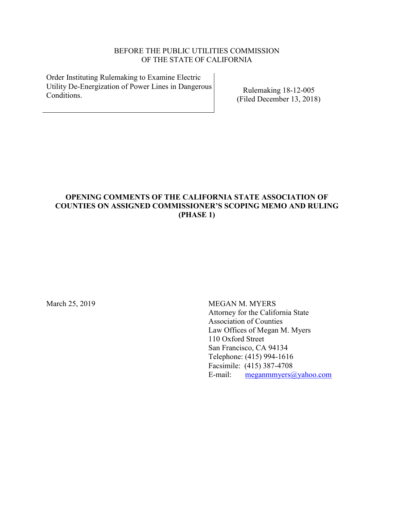# BEFORE THE PUBLIC UTILITIES COMMISSION OF THE STATE OF CALIFORNIA

Order Instituting Rulemaking to Examine Electric Utility De-Energization of Power Lines in Dangerous Conditions.

Rulemaking 18-12-005 (Filed December 13, 2018)

# **OPENING COMMENTS OF THE CALIFORNIA STATE ASSOCIATION OF COUNTIES ON ASSIGNED COMMISSIONER'S SCOPING MEMO AND RULING (PHASE 1)**

March 25, 2019 MEGAN M. MYERS Attorney for the California State Association of Counties Law Offices of Megan M. Myers 110 Oxford Street San Francisco, CA 94134 Telephone: (415) 994-1616 Facsimile: (415) 387-4708 E-mail: [meganmmyers@yahoo.com](mailto:meganmmyers@yahoo.com)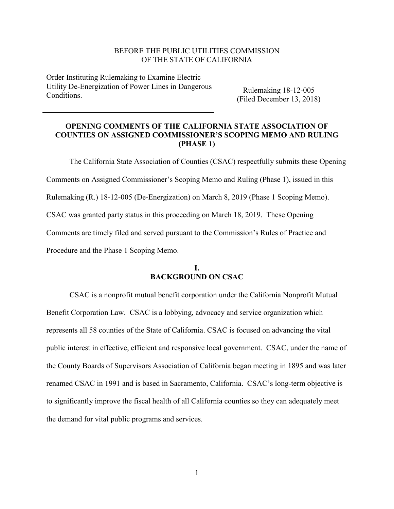#### BEFORE THE PUBLIC UTILITIES COMMISSION OF THE STATE OF CALIFORNIA

Order Instituting Rulemaking to Examine Electric Utility De-Energization of Power Lines in Dangerous **Conditions** 

Rulemaking 18-12-005 (Filed December 13, 2018)

# **OPENING COMMENTS OF THE CALIFORNIA STATE ASSOCIATION OF COUNTIES ON ASSIGNED COMMISSIONER'S SCOPING MEMO AND RULING (PHASE 1)**

The California State Association of Counties (CSAC) respectfully submits these Opening Comments on Assigned Commissioner's Scoping Memo and Ruling (Phase 1), issued in this Rulemaking (R.) 18-12-005 (De-Energization) on March 8, 2019 (Phase 1 Scoping Memo). CSAC was granted party status in this proceeding on March 18, 2019. These Opening Comments are timely filed and served pursuant to the Commission's Rules of Practice and Procedure and the Phase 1 Scoping Memo.

## **I. BACKGROUND ON CSAC**

CSAC is a nonprofit mutual benefit corporation under the California Nonprofit Mutual Benefit Corporation Law. CSAC is a lobbying, advocacy and service organization which represents all 58 counties of the State of California. CSAC is focused on advancing the vital public interest in effective, efficient and responsive local government. CSAC, under the name of the County Boards of Supervisors Association of California began meeting in 1895 and was later renamed CSAC in 1991 and is based in Sacramento, California. CSAC's long-term objective is to significantly improve the fiscal health of all California counties so they can adequately meet the demand for vital public programs and services.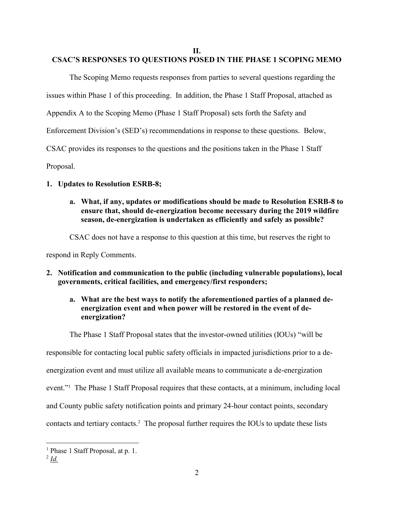**II.**

# **CSAC'S RESPONSES TO QUESTIONS POSED IN THE PHASE 1 SCOPING MEMO**

The Scoping Memo requests responses from parties to several questions regarding the issues within Phase 1 of this proceeding. In addition, the Phase 1 Staff Proposal, attached as Appendix A to the Scoping Memo (Phase 1 Staff Proposal) sets forth the Safety and Enforcement Division's (SED's) recommendations in response to these questions. Below, CSAC provides its responses to the questions and the positions taken in the Phase 1 Staff Proposal.

# **1. Updates to Resolution ESRB-8;**

**a. What, if any, updates or modifications should be made to Resolution ESRB-8 to ensure that, should de-energization become necessary during the 2019 wildfire season, de-energization is undertaken as efficiently and safely as possible?**

CSAC does not have a response to this question at this time, but reserves the right to

respond in Reply Comments.

# **2. Notification and communication to the public (including vulnerable populations), local governments, critical facilities, and emergency/first responders;**

# **a. What are the best ways to notify the aforementioned parties of a planned deenergization event and when power will be restored in the event of deenergization?**

The Phase 1 Staff Proposal states that the investor-owned utilities (IOUs) "will be

responsible for contacting local public safety officials in impacted jurisdictions prior to a de-

energization event and must utilize all available means to communicate a de-energization

event."<sup>1</sup> The Phase 1 Staff Proposal requires that these contacts, at a minimum, including local

and County public safety notification points and primary 24-hour contact points, secondary

contacts and tertiary contacts.<sup>2</sup> The proposal further requires the IOUs to update these lists

2 *Id.*

<sup>&</sup>lt;sup>1</sup> Phase 1 Staff Proposal, at p. 1.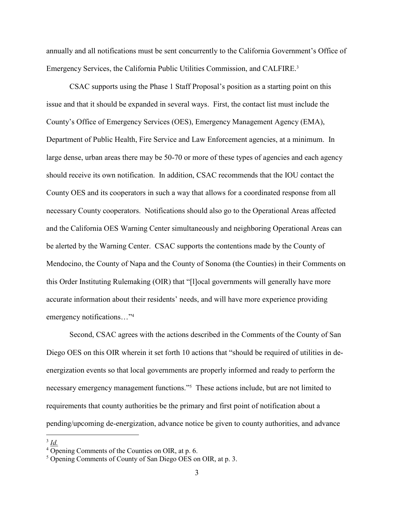annually and all notifications must be sent concurrently to the California Government's Office of Emergency Services, the California Public Utilities Commission, and CALFIRE.<sup>3</sup>

CSAC supports using the Phase 1 Staff Proposal's position as a starting point on this issue and that it should be expanded in several ways. First, the contact list must include the County's Office of Emergency Services (OES), Emergency Management Agency (EMA), Department of Public Health, Fire Service and Law Enforcement agencies, at a minimum. In large dense, urban areas there may be 50-70 or more of these types of agencies and each agency should receive its own notification. In addition, CSAC recommends that the IOU contact the County OES and its cooperators in such a way that allows for a coordinated response from all necessary County cooperators. Notifications should also go to the Operational Areas affected and the California OES Warning Center simultaneously and neighboring Operational Areas can be alerted by the Warning Center. CSAC supports the contentions made by the County of Mendocino, the County of Napa and the County of Sonoma (the Counties) in their Comments on this Order Instituting Rulemaking (OIR) that "[l]ocal governments will generally have more accurate information about their residents' needs, and will have more experience providing emergency notifications…" 4

Second, CSAC agrees with the actions described in the Comments of the County of San Diego OES on this OIR wherein it set forth 10 actions that "should be required of utilities in deenergization events so that local governments are properly informed and ready to perform the necessary emergency management functions."<sup>5</sup> These actions include, but are not limited to requirements that county authorities be the primary and first point of notification about a pending/upcoming de-energization, advance notice be given to county authorities, and advance

 $\overline{a}$ 3 *Id.*

 $4\overline{O}$  Opening Comments of the Counties on OIR, at p. 6.

<sup>5</sup> Opening Comments of County of San Diego OES on OIR, at p. 3.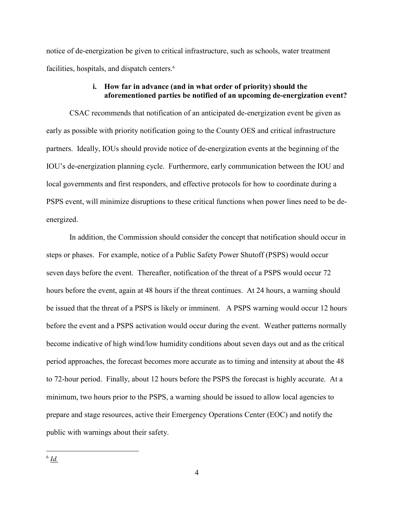notice of de-energization be given to critical infrastructure, such as schools, water treatment facilities, hospitals, and dispatch centers.<sup>6</sup>

#### **i. How far in advance (and in what order of priority) should the aforementioned parties be notified of an upcoming de-energization event?**

CSAC recommends that notification of an anticipated de-energization event be given as early as possible with priority notification going to the County OES and critical infrastructure partners. Ideally, IOUs should provide notice of de-energization events at the beginning of the IOU's de-energization planning cycle. Furthermore, early communication between the IOU and local governments and first responders, and effective protocols for how to coordinate during a PSPS event, will minimize disruptions to these critical functions when power lines need to be deenergized.

In addition, the Commission should consider the concept that notification should occur in steps or phases. For example, notice of a Public Safety Power Shutoff (PSPS) would occur seven days before the event. Thereafter, notification of the threat of a PSPS would occur 72 hours before the event, again at 48 hours if the threat continues. At 24 hours, a warning should be issued that the threat of a PSPS is likely or imminent. A PSPS warning would occur 12 hours before the event and a PSPS activation would occur during the event. Weather patterns normally become indicative of high wind/low humidity conditions about seven days out and as the critical period approaches, the forecast becomes more accurate as to timing and intensity at about the 48 to 72-hour period. Finally, about 12 hours before the PSPS the forecast is highly accurate. At a minimum, two hours prior to the PSPS, a warning should be issued to allow local agencies to prepare and stage resources, active their Emergency Operations Center (EOC) and notify the public with warnings about their safety.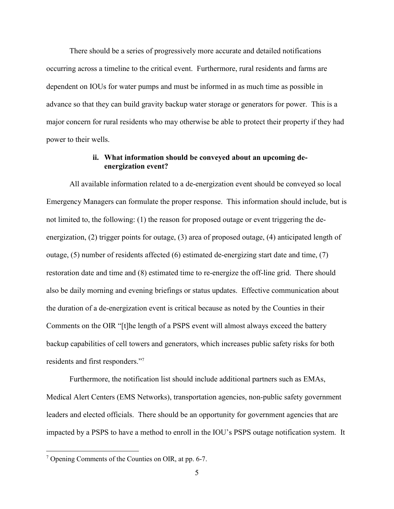There should be a series of progressively more accurate and detailed notifications occurring across a timeline to the critical event. Furthermore, rural residents and farms are dependent on IOUs for water pumps and must be informed in as much time as possible in advance so that they can build gravity backup water storage or generators for power. This is a major concern for rural residents who may otherwise be able to protect their property if they had power to their wells.

#### **ii. What information should be conveyed about an upcoming deenergization event?**

All available information related to a de-energization event should be conveyed so local Emergency Managers can formulate the proper response. This information should include, but is not limited to, the following: (1) the reason for proposed outage or event triggering the deenergization, (2) trigger points for outage, (3) area of proposed outage, (4) anticipated length of outage, (5) number of residents affected (6) estimated de-energizing start date and time, (7) restoration date and time and (8) estimated time to re-energize the off-line grid. There should also be daily morning and evening briefings or status updates. Effective communication about the duration of a de-energization event is critical because as noted by the Counties in their Comments on the OIR "[t]he length of a PSPS event will almost always exceed the battery backup capabilities of cell towers and generators, which increases public safety risks for both residents and first responders." 7

Furthermore, the notification list should include additional partners such as EMAs, Medical Alert Centers (EMS Networks), transportation agencies, non-public safety government leaders and elected officials. There should be an opportunity for government agencies that are impacted by a PSPS to have a method to enroll in the IOU's PSPS outage notification system. It

<sup>7</sup> Opening Comments of the Counties on OIR, at pp. 6-7.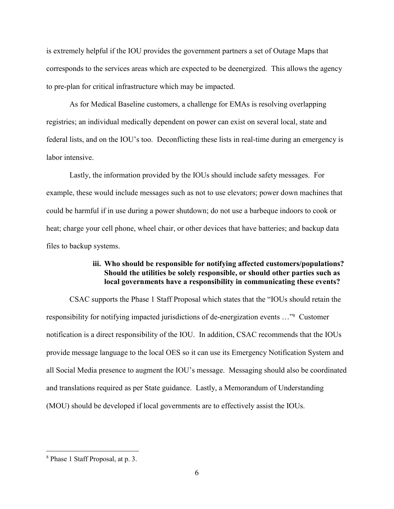is extremely helpful if the IOU provides the government partners a set of Outage Maps that corresponds to the services areas which are expected to be deenergized. This allows the agency to pre-plan for critical infrastructure which may be impacted.

As for Medical Baseline customers, a challenge for EMAs is resolving overlapping registries; an individual medically dependent on power can exist on several local, state and federal lists, and on the IOU's too. Deconflicting these lists in real-time during an emergency is labor intensive.

Lastly, the information provided by the IOUs should include safety messages. For example, these would include messages such as not to use elevators; power down machines that could be harmful if in use during a power shutdown; do not use a barbeque indoors to cook or heat; charge your cell phone, wheel chair, or other devices that have batteries; and backup data files to backup systems.

#### **iii. Who should be responsible for notifying affected customers/populations? Should the utilities be solely responsible, or should other parties such as local governments have a responsibility in communicating these events?**

CSAC supports the Phase 1 Staff Proposal which states that the "IOUs should retain the responsibility for notifying impacted jurisdictions of de-energization events …" <sup>8</sup> Customer notification is a direct responsibility of the IOU. In addition, CSAC recommends that the IOUs provide message language to the local OES so it can use its Emergency Notification System and all Social Media presence to augment the IOU's message. Messaging should also be coordinated and translations required as per State guidance. Lastly, a Memorandum of Understanding (MOU) should be developed if local governments are to effectively assist the IOUs.

<sup>8</sup> Phase 1 Staff Proposal, at p. 3.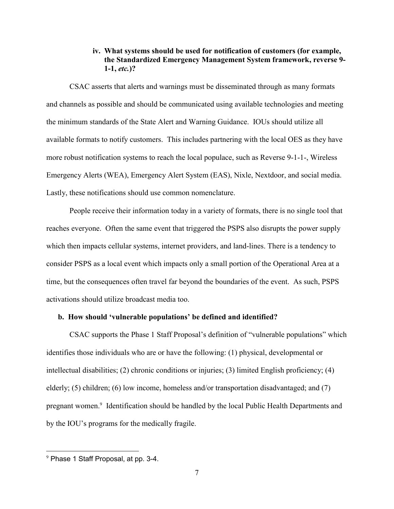# **iv. What systems should be used for notification of customers (for example, the Standardized Emergency Management System framework, reverse 9- 1-1,** *etc.***)?**

CSAC asserts that alerts and warnings must be disseminated through as many formats and channels as possible and should be communicated using available technologies and meeting the minimum standards of the State Alert and Warning Guidance. IOUs should utilize all available formats to notify customers. This includes partnering with the local OES as they have more robust notification systems to reach the local populace, such as Reverse 9-1-1-, Wireless Emergency Alerts (WEA), Emergency Alert System (EAS), Nixle, Nextdoor, and social media. Lastly, these notifications should use common nomenclature.

People receive their information today in a variety of formats, there is no single tool that reaches everyone. Often the same event that triggered the PSPS also disrupts the power supply which then impacts cellular systems, internet providers, and land-lines. There is a tendency to consider PSPS as a local event which impacts only a small portion of the Operational Area at a time, but the consequences often travel far beyond the boundaries of the event. As such, PSPS activations should utilize broadcast media too.

#### **b. How should 'vulnerable populations' be defined and identified?**

CSAC supports the Phase 1 Staff Proposal's definition of "vulnerable populations" which identifies those individuals who are or have the following: (1) physical, developmental or intellectual disabilities; (2) chronic conditions or injuries; (3) limited English proficiency; (4) elderly; (5) children; (6) low income, homeless and/or transportation disadvantaged; and (7) pregnant women.<sup>9</sup> Identification should be handled by the local Public Health Departments and by the IOU's programs for the medically fragile.

<sup>9</sup> Phase 1 Staff Proposal, at pp. 3-4.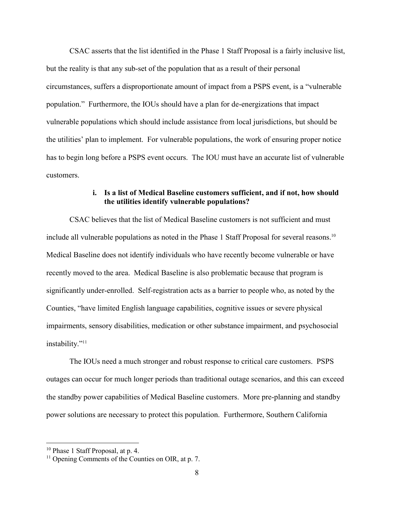CSAC asserts that the list identified in the Phase 1 Staff Proposal is a fairly inclusive list, but the reality is that any sub-set of the population that as a result of their personal circumstances, suffers a disproportionate amount of impact from a PSPS event, is a "vulnerable population." Furthermore, the IOUs should have a plan for de-energizations that impact vulnerable populations which should include assistance from local jurisdictions, but should be the utilities' plan to implement. For vulnerable populations, the work of ensuring proper notice has to begin long before a PSPS event occurs. The IOU must have an accurate list of vulnerable customers.

## **i. Is a list of Medical Baseline customers sufficient, and if not, how should the utilities identify vulnerable populations?**

CSAC believes that the list of Medical Baseline customers is not sufficient and must include all vulnerable populations as noted in the Phase 1 Staff Proposal for several reasons. 10 Medical Baseline does not identify individuals who have recently become vulnerable or have recently moved to the area. Medical Baseline is also problematic because that program is significantly under-enrolled. Self-registration acts as a barrier to people who, as noted by the Counties, "have limited English language capabilities, cognitive issues or severe physical impairments, sensory disabilities, medication or other substance impairment, and psychosocial instability." 11

The IOUs need a much stronger and robust response to critical care customers. PSPS outages can occur for much longer periods than traditional outage scenarios, and this can exceed the standby power capabilities of Medical Baseline customers. More pre-planning and standby power solutions are necessary to protect this population. Furthermore, Southern California

<sup>10</sup> Phase 1 Staff Proposal, at p. 4.

<sup>&</sup>lt;sup>11</sup> Opening Comments of the Counties on OIR, at p. 7.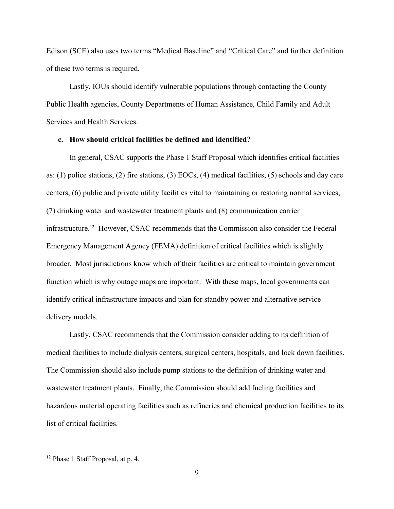Edison (SCE) also uses two terms "Medical Baseline" and "Critical Care" and further definition of these two terms is required.

Lastly, IOUs should identify vulnerable populations through contacting the County Public Health agencies, County Departments of Human Assistance, Child Family and Adult Services and Health Services.

#### **c. How should critical facilities be defined and identified?**

In general, CSAC supports the Phase 1 Staff Proposal which identifies critical facilities as: (1) police stations, (2) fire stations, (3) EOCs, (4) medical facilities, (5) schools and day care centers, (6) public and private utility facilities vital to maintaining or restoring normal services, (7) drinking water and wastewater treatment plants and (8) communication carrier infrastructure.<sup>12</sup> However, CSAC recommends that the Commission also consider the Federal Emergency Management Agency (FEMA) definition of critical facilities which is slightly broader. Most jurisdictions know which of their facilities are critical to maintain government function which is why outage maps are important. With these maps, local governments can identify critical infrastructure impacts and plan for standby power and alternative service delivery models.

Lastly, CSAC recommends that the Commission consider adding to its definition of medical facilities to include dialysis centers, surgical centers, hospitals, and lock down facilities. The Commission should also include pump stations to the definition of drinking water and wastewater treatment plants. Finally, the Commission should add fueling facilities and hazardous material operating facilities such as refineries and chemical production facilities to its list of critical facilities.

<sup>12</sup> Phase 1 Staff Proposal, at p. 4.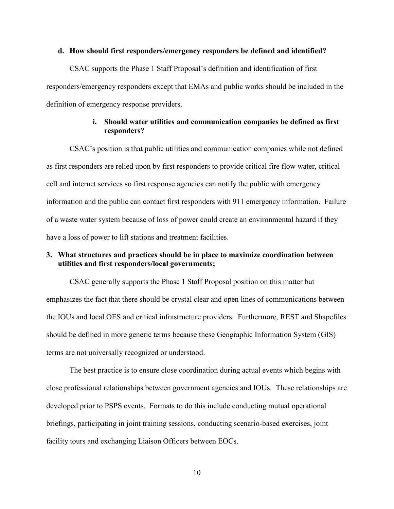#### **d. How should first responders/emergency responders be defined and identified?**

CSAC supports the Phase 1 Staff Proposal's definition and identification of first responders/emergency responders except that EMAs and public works should be included in the definition of emergency response providers.

## **i. Should water utilities and communication companies be defined as first responders?**

CSAC's position is that public utilities and communication companies while not defined as first responders are relied upon by first responders to provide critical fire flow water, critical cell and internet services so first response agencies can notify the public with emergency information and the public can contact first responders with 911 emergency information. Failure of a waste water system because of loss of power could create an environmental hazard if they have a loss of power to lift stations and treatment facilities.

# **3. What structures and practices should be in place to maximize coordination between utilities and first responders/local governments;**

CSAC generally supports the Phase 1 Staff Proposal position on this matter but emphasizes the fact that there should be crystal clear and open lines of communications between the IOUs and local OES and critical infrastructure providers. Furthermore, REST and Shapefiles should be defined in more generic terms because these Geographic Information System (GIS) terms are not universally recognized or understood.

The best practice is to ensure close coordination during actual events which begins with close professional relationships between government agencies and IOUs. These relationships are developed prior to PSPS events. Formats to do this include conducting mutual operational briefings, participating in joint training sessions, conducting scenario-based exercises, joint facility tours and exchanging Liaison Officers between EOCs.

10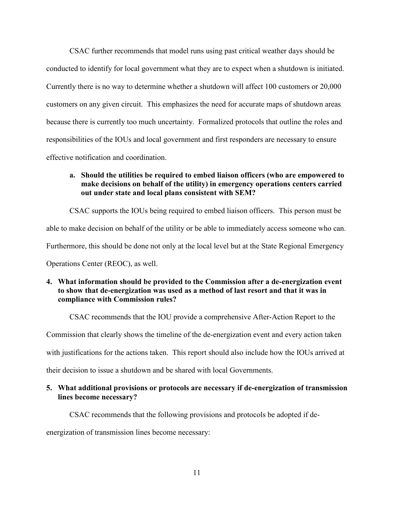CSAC further recommends that model runs using past critical weather days should be conducted to identify for local government what they are to expect when a shutdown is initiated. Currently there is no way to determine whether a shutdown will affect 100 customers or 20,000 customers on any given circuit. This emphasizes the need for accurate maps of shutdown areas because there is currently too much uncertainty.Formalized protocols that outline the roles and responsibilities of the IOUs and local government and first responders are necessary to ensure effective notification and coordination.

# **a. Should the utilities be required to embed liaison officers (who are empowered to make decisions on behalf of the utility) in emergency operations centers carried out under state and local plans consistent with SEM?**

CSAC supports the IOUs being required to embed liaison officers. This person must be

able to make decision on behalf of the utility or be able to immediately access someone who can.

Furthermore, this should be done not only at the local level but at the State Regional Emergency

Operations Center (REOC), as well.

## **4. What information should be provided to the Commission after a de-energization event to show that de-energization was used as a method of last resort and that it was in compliance with Commission rules?**

CSAC recommends that the IOU provide a comprehensive After-Action Report to the

Commission that clearly shows the timeline of the de-energization event and every action taken

with justifications for the actions taken. This report should also include how the IOUs arrived at

their decision to issue a shutdown and be shared with local Governments.

## **5. What additional provisions or protocols are necessary if de-energization of transmission lines become necessary?**

CSAC recommends that the following provisions and protocols be adopted if de-

energization of transmission lines become necessary: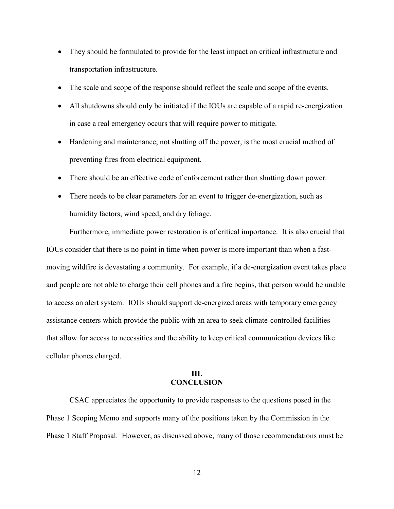- They should be formulated to provide for the least impact on critical infrastructure and transportation infrastructure.
- The scale and scope of the response should reflect the scale and scope of the events.
- All shutdowns should only be initiated if the IOUs are capable of a rapid re-energization in case a real emergency occurs that will require power to mitigate.
- Hardening and maintenance, not shutting off the power, is the most crucial method of preventing fires from electrical equipment.
- There should be an effective code of enforcement rather than shutting down power.
- There needs to be clear parameters for an event to trigger de-energization, such as humidity factors, wind speed, and dry foliage.

Furthermore, immediate power restoration is of critical importance. It is also crucial that IOUs consider that there is no point in time when power is more important than when a fastmoving wildfire is devastating a community. For example, if a de-energization event takes place and people are not able to charge their cell phones and a fire begins, that person would be unable to access an alert system. IOUs should support de-energized areas with temporary emergency assistance centers which provide the public with an area to seek climate-controlled facilities that allow for access to necessities and the ability to keep critical communication devices like cellular phones charged.

# **III. CONCLUSION**

CSAC appreciates the opportunity to provide responses to the questions posed in the Phase 1 Scoping Memo and supports many of the positions taken by the Commission in the Phase 1 Staff Proposal. However, as discussed above, many of those recommendations must be